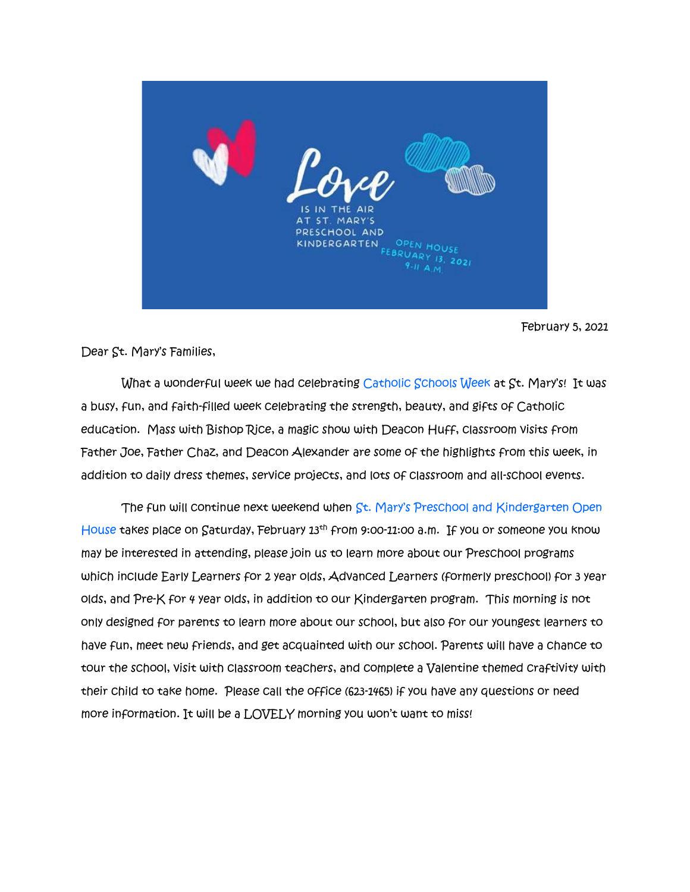

February 5, 2021

Dear St. Mary's Families,

What a wonderful week we had celebrating Catholic Schools Week at St. Mary's! It was a busy, fun, and faith-filled week celebrating the strength, beauty, and gifts of Catholic education. Mass with Bishop Rice, a magic show with Deacon Huff, classroom visits from Father Joe, Father Chaz, and Deacon Alexander are some of the highlights from this week, in addition to daily dress themes, service projects, and lots of classroom and all-school events.

 The fun will continue next weekend when St. Mary's Preschool and Kindergarten Open House takes place on Saturday, February 13<sup>th</sup> from 9:00-11:00 a.m. If you or someone you know may be interested in attending, please join us to learn more about our Preschool programs which include Early Learners for 2 year olds, Advanced Learners (formerly preschool) for 3 year olds, and Pre-K for 4 year olds, in addition to our Kindergarten program. This morning is not only designed for parents to learn more about our school, but also for our youngest learners to have fun, meet new friends, and get acquainted with our school. Parents will have a chance to tour the school, visit with classroom teachers, and complete a Valentine themed craftivity with their child to take home. Please call the office (623-1465) if you have any questions or need more information. It will be a LOVELY morning you won't want to miss!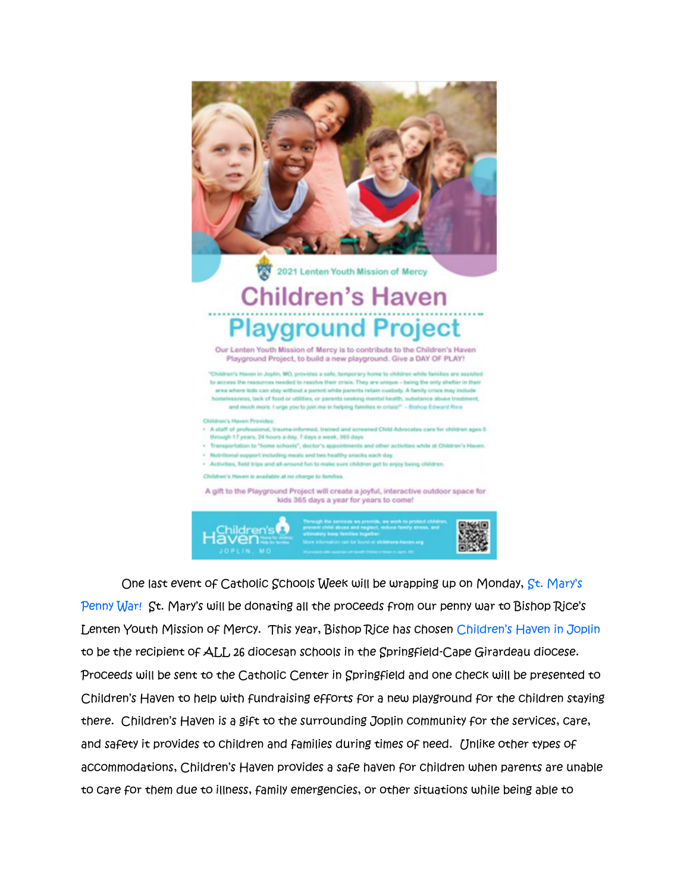



 One last event of Catholic Schools Week will be wrapping up on Monday, St. Mary's Penny War! St. Mary's will be donating all the proceeds from our penny war to Bishop Rice's Lenten Youth Mission of Mercy. This year, Bishop Rice has chosen Children's Haven in Joplin to be the recipient of ALL 26 diocesan schools in the Springfield-Cape Girardeau diocese. Proceeds will be sent to the Catholic Center in Springfield and one check will be presented to Children's Haven to help with fundraising efforts for a new playground for the children staying there. Children's Haven is a gift to the surrounding Joplin community for the services, care, and safety it provides to children and families during times of need. Unlike other types of accommodations, Children's Haven provides a safe haven for children when parents are unable to care for them due to illness, family emergencies, or other situations while being able to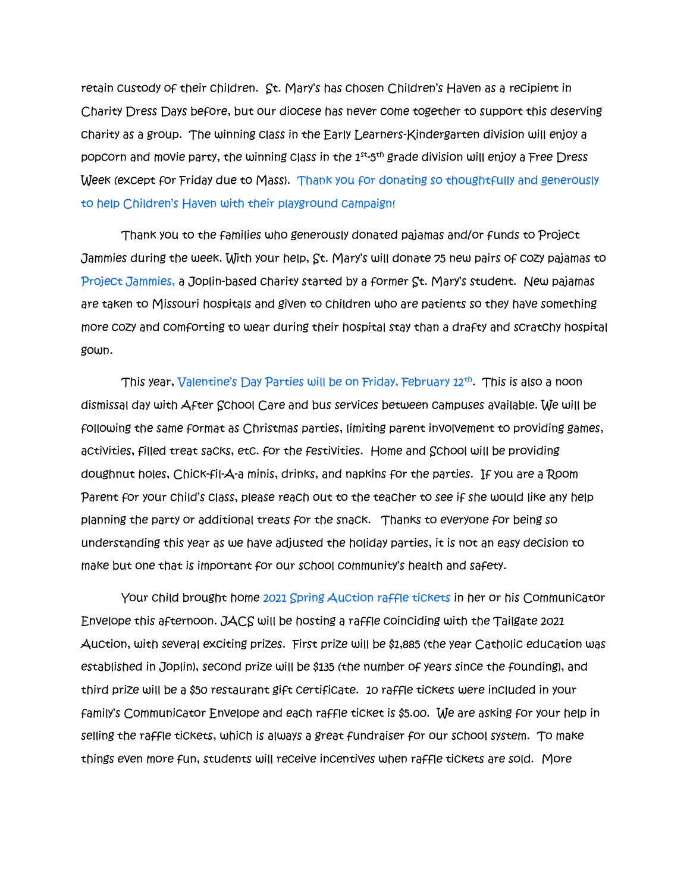retain custody of their children. St. Mary's has chosen Children's Haven as a recipient in Charity Dress Days before, but our diocese has never come together to support this deserving charity as a group. The winning class in the Early Learners-Kindergarten division will enjoy a popcorn and movie party, the winning class in the  $1^{\rm st}$ -5<sup>th</sup> grade division will enjoy a Free Dress Week (except for Friday due to Mass). Thank you for donating so thoughtfully and generously to help Children's Haven with their playground campaign!

Thank you to the families who generously donated pajamas and/or funds to Project Jammies during the week. With your help, St. Mary's will donate 75 new pairs of cozy pajamas to Project Jammies, a Joplin-based charity started by a former St. Mary's student. New pajamas are taken to Missouri hospitals and given to children who are patients so they have something more cozy and comforting to wear during their hospital stay than a drafty and scratchy hospital gown.

This year, Valentine's Day Parties will be on Friday, February 12th . This is also a noon dismissal day with After School Care and bus services between campuses available. We will be following the same format as Christmas parties, limiting parent involvement to providing games, activities, filled treat sacks, etc. for the festivities. Home and School will be providing doughnut holes, Chick-fil-A-a minis, drinks, and napkins for the parties. If you are a Room Parent for your child's class, please reach out to the teacher to see if she would like any help planning the party or additional treats for the snack. Thanks to everyone for being so understanding this year as we have adjusted the holiday parties, it is not an easy decision to make but one that is important for our school community's health and safety.

Your child brought home 2021 Spring Auction raffle tickets in her or his Communicator Envelope this afternoon. JACS will be hosting a raffle coinciding with the Tailgate 2021 Auction, with several exciting prizes. First prize will be \$1,885 (the year Catholic education was established in Joplin), second prize will be \$135 (the number of years since the founding), and third prize will be a \$50 restaurant gift certificate. 10 raffle tickets were included in your family's Communicator Envelope and each raffle ticket is \$5.00. We are asking for your help in selling the raffle tickets, which is always a great fundraiser for our school system. To make things even more fun, students will receive incentives when raffle tickets are sold. More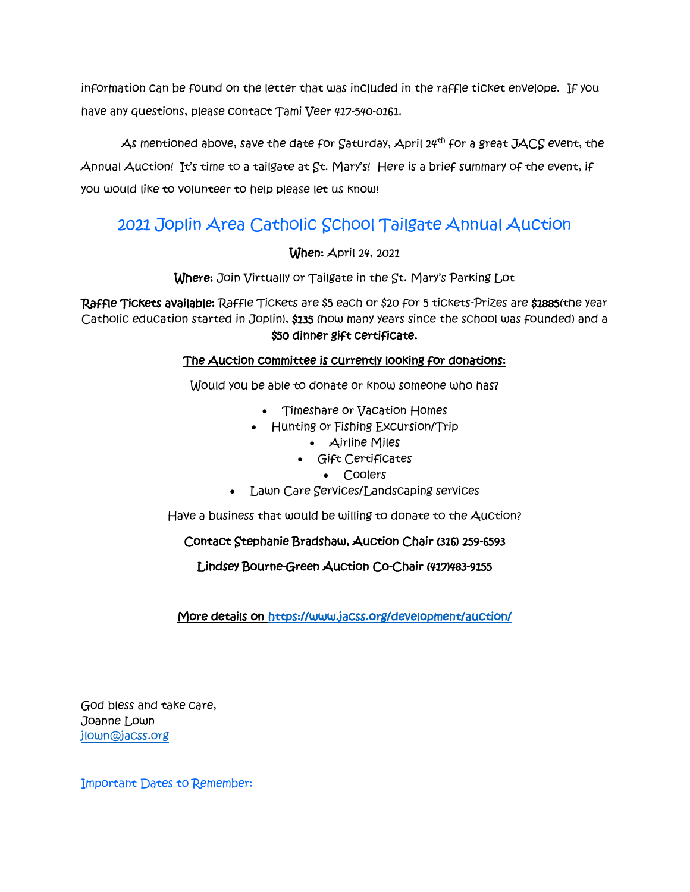information can be found on the letter that was included in the raffle ticket envelope. If you have any questions, please contact Tami Veer 417-540-0161.

As mentioned above, save the date for Saturday, April 24<sup>th</sup> for a great JACS event, the Annual Auction! It's time to a tailgate at St. Mary's! Here is a brief summary of the event, if you would like to volunteer to help please let us know!

## 2021 Joplin Area Catholic School Tailgate Annual Auction

When: April 24, 2021

Where: Join Virtually or Tailgate in the St. Mary's Parking Lot

Raffle Tickets available: Raffle Tickets are \$5 each or \$20 for 5 tickets-Prizes are \$1885(the year Catholic education started in Joplin), \$135 (how many years since the school was founded) and a \$50 dinner gift certificate.

## The Auction committee is currently looking for donations:

Would you be able to donate or know someone who has?

- Timeshare or Vacation Homes
- Hunting or Fishing Excursion/Trip
	- Airline Miles
	- Gift Certificates
		- Coolers
- Lawn Care Services/Landscaping services

Have a business that would be willing to donate to the Auction?

## Contact Stephanie Bradshaw, Auction Chair (316) 259-6593

Lindsey Bourne-Green Auction Co-Chair (417)483-9155

More details on<https://www.jacss.org/development/auction/>

God bless and take care, Joanne Lown [jlown@jacss.org](mailto:jlown@jacss.org)

Important Dates to Remember: